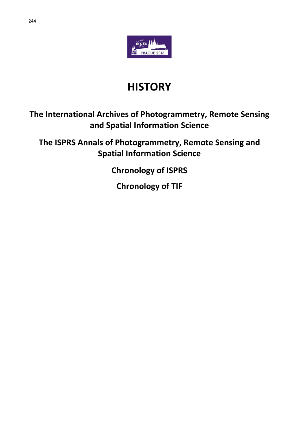

# **HISTORY**

## **The International Archives of Photogrammetry, Remote Sensing and Spatial Information Science**

**The ISPRS Annals of Photogrammetry, Remote Sensing and Spatial Information Science**

**Chronology of ISPRS**

**Chronology of TIF**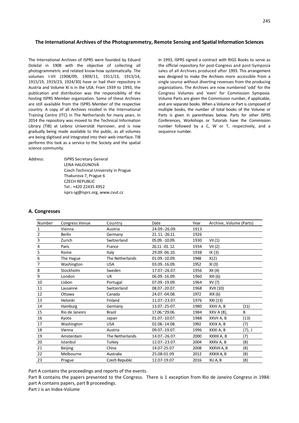#### **The International Archives of the Photogrammetry, Remote Sensing and Spatial Information Sciences**

The International Archives of ISPRS were founded by Eduard Doležal in 1908 with the objective of collecting all photogrammetric and related know-how systematically. The volumes I-VII (1908/09, 1909/11, 1911/13, 1913/14, 1915/19, 1919/23, 1924/30) have or had their repository in Austria and Volume XI is in the USA. From 1939 to 1993, the publication and distribution was the responsibility of the hosting ISPRS Member organization. Some of these Archives are still available from the ISPRS Member of the respective country. A copy of all Archives resided in the International Training Centre (ITC) in The Netherlands for many years. In 2014 the repository was moved to the Technical Information Library (TIB) at Leibniz Universität Hannover, and is now gradually being made available to the public, as all volumes are being digitised and integrated into their web interface. TIB performs this task as a service to the Society and the spatial science community.

Address: ISPRS Secretary General LENA HALOUNOVÁ Czech Technical University in Prague Thakurova 7, Prague 6 CZECH REPUBLIC Tel.: +420 22435 4952 isprs-sg@isprs.org, www.cvut.cz

In 1993, ISPRS signed a contract with RIGS Books to serve as the official repository for post-Congress and post-Symposia sales of all Archives produced after 1993. This arrangement was designed to make the Archives more accessible from a single source without diverting revenues from the producing organizations. The Archives are now numbered 'odd' for the Congress Volumes and 'even' for Commission Symposia. Volume Parts are given the Commission number, if applicable, and are separate books. When a Volume or Part is composed of multiple books, the number of total books of the Volume or Parts is given in parentheses below. Parts for other ISPRS Conferences, Workshops or Tutorials have the Commission number followed by a C, W or T, respectively, and a sequence number.

#### **A. Congresses**

| Number         | <b>Congress Venue</b> | Country         | Date            | Year | Archive, Volume (Parts) |        |
|----------------|-----------------------|-----------------|-----------------|------|-------------------------|--------|
|                | Vienna                | Austria         | 24.09.-26.09.   | 1913 |                         |        |
| $\overline{2}$ | <b>Berlin</b>         | Germany         | 21. 11. -26.11. | 1926 |                         |        |
| 3              | Zurich                | Switzerland     | 05.09. - 10.09. | 1930 | VII(1)                  |        |
| 4              | Paris                 | France          | 26.11. -01. 12. | 1934 | VII(2)                  |        |
| 5              | Rome                  | Italy           | 29.09.-06.10.   | 1938 | IX(3)                   |        |
| 6              | The Hague             | The Netherlands | 01.09.-10.09.   | 1948 | X(2)                    |        |
| 7              | Washington            | <b>USA</b>      | 03.09.-16.09.   | 1952 | XI(3)                   |        |
| 8              | Stockholm             | Sweden          | 17.07.-26.07.   | 1956 | XII (4)                 |        |
| 9              | London                | UK              | 06.09.-16.09.   | 1960 | XIII (6)                |        |
| 10             | Lisbon                | Portugal        | 07.09.-19.09.   | 1964 | XV (7)                  |        |
| 11             | Lausanne              | Switzerland     | 08.07.-20.07.   | 1968 | XVII (10)               |        |
| 12             | Ottawa                | Canada          | 24.07.-04.08.   | 1972 | XIX (6)                 |        |
| 13             | Helsinki              | Finland         | 11.07.-23.07.   | 1976 | XXI (13)                |        |
| 14             | Hamburg               | Germany         | 13.07.-25-07.   | 1980 | XXIII A, B              | (11)   |
| 15             | Rio de Janeiro        | <b>Brazil</b>   | 17.06.~29.06.   | 1984 | XXV A (8),              | B      |
| 16             | Kyoto                 | Japan           | 01.07.-10.07.   | 1988 | XXVII A, B              | (13)   |
| 17             | Washington            | <b>USA</b>      | 02.08.-14.08.   | 1992 | XXIX A, B               | (7)    |
| 18             | Vienna                | Austria         | 09.07.-19.07.   | 1996 | XXXI A, B               | (7), J |
| 19             | Amsterdam             | The Netherlands | 14.07.-26.07.   | 2000 | XXXIII A, B             | (7)    |
| 20             | Istanbul              | Turkey          | 12.07.-23.07.   | 2004 | XXXV A, B               | (8)    |
| 21             | <b>Beijing</b>        | China           | 14.07-25.07     | 2008 | XXXVII A, B             | (8)    |
| 22             | Melbourne             | Australia       | 25.08-01.09     | 2012 | XXXIX A, B              | (8)    |
| 23             | Prague                | Czech Republic  | 12.07-19.07     | 2016 | XLI A, B                | (8)    |

Part A contains the proceedings and reports of the events.

Part B contains the papers presented to the Congress. There is 1 exception from Rio de Janeiro Congress in 1984: part A contains papers, part B proceedings.

Part J is an Index-Volume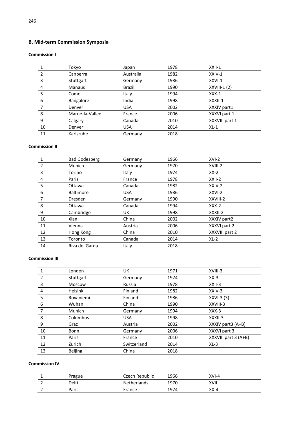### **B. Mid-term Commission Symposia**

#### **Commission I**

|    | Tokyo           | Japan         | 1978 | $XXII-1$       |
|----|-----------------|---------------|------|----------------|
|    | Canberra        | Australia     | 1982 | XXIV-1         |
| 3  | Stuttgart       | Germany       | 1986 | XXVI-1         |
| 4  | <b>Manaus</b>   | <b>Brazil</b> | 1990 | $XXVIII-1(2)$  |
| 5  | Como            | Italy         | 1994 | $XXX-1$        |
| 6  | Bangalore       | India         | 1998 | XXXII-1        |
|    | Denver          | <b>USA</b>    | 2002 | XXXIV part1    |
| 8  | Marne-la-Vallee | France        | 2006 | XXXVI part 1   |
| 9  | Calgary         | Canada        | 2010 | XXXVIII part 1 |
| 10 | Denver          | <b>USA</b>    | 2014 | $XL-1$         |
| 11 | Karlsruhe       | Germany       | 2018 |                |

#### **Commission II**

|    | <b>Bad Godesberg</b> | Germany    | 1966 | $XVI-2$        |
|----|----------------------|------------|------|----------------|
| 2  | Munich               | Germany    | 1970 | XVIII-2        |
| 3  | Torino               | Italy      | 1974 | $XX-2$         |
| 4  | Paris                | France     | 1978 | $XXII-2$       |
| 5  | Ottawa               | Canada     | 1982 | XXIV-2         |
| 6  | <b>Baltimore</b>     | <b>USA</b> | 1986 | XXVI-2         |
| 7  | <b>Dresden</b>       | Germany    | 1990 | XXVIII-2       |
| 8  | Ottawa               | Canada     | 1994 | $XXX-2$        |
| 9  | Cambridge            | UK         | 1998 | XXXII-2        |
| 10 | Xian                 | China      | 2002 | XXXIV part2    |
| 11 | Vienna               | Austria    | 2006 | XXXVI part 2   |
| 12 | Hong Kong            | China      | 2010 | XXXVIII part 2 |
| 13 | Toronto              | Canada     | 2014 | $XL-2$         |
| 14 | Riva del Garda       | Italy      | 2018 |                |
|    |                      |            |      |                |

#### **Commission III**

|    | London         | UK          | 1971 | XVIII-3              |
|----|----------------|-------------|------|----------------------|
| 2  | Stuttgart      | Germany     | 1974 | $XX-3$               |
| 3  | Moscow         | Russia      | 1978 | $XXII-3$             |
| 4  | Helsinki       | Finland     | 1982 | XXIV-3               |
| 5  | Rovaniemi      | Finland     | 1986 | $XXVI-3(3)$          |
| 6  | Wuhan          | China       | 1990 | XXVIII-3             |
|    | Munich         | Germany     | 1994 | $XXX-3$              |
| 8  | Columbus       | <b>USA</b>  | 1998 | XXXII-3              |
| 9  | Graz           | Austria     | 2002 | XXXIV part3 (A+B)    |
| 10 | Bonn           | Germany     | 2006 | XXXVI part 3         |
| 11 | Paris          | France      | 2010 | XXXVIII part 3 (A+B) |
| 12 | Zurich         | Switzerland | 2014 | $XL-3$               |
| 13 | <b>Beijing</b> | China       | 2018 |                      |

#### **Commission IV**

|   | Prague | Czech Republic     | 1966 | XVI-4    |  |
|---|--------|--------------------|------|----------|--|
|   | Delft  | <b>Netherlands</b> | 1970 | XVII     |  |
| - | Paris  | France             | 1974 | $XX - 4$ |  |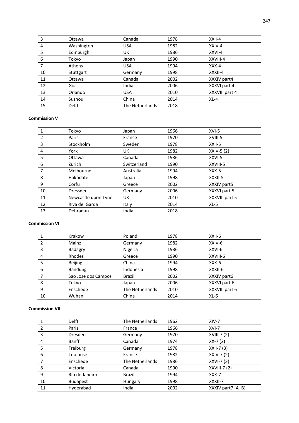| 3  | Ottawa     | Canada          | 1978 | $XXII-4$       |
|----|------------|-----------------|------|----------------|
| 4  | Washington | <b>USA</b>      | 1982 | XXIV-4         |
| 5  | Edinburgh  | UK              | 1986 | XXVI-4         |
| 6  | Tokvo      | Japan           | 1990 | XXVIII-4       |
|    | Athens     | <b>USA</b>      | 1994 | $XXX-4$        |
| 10 | Stuttgart  | Germany         | 1998 | XXXII-4        |
| 11 | Ottawa     | Canada          | 2002 | XXXIV part4    |
| 12 | Goa        | India           | 2006 | XXXVI part 4   |
| 13 | Orlando    | <b>USA</b>      | 2010 | XXXVIII part 4 |
| 14 | Suzhou     | China           | 2014 | $XL-4$         |
| 15 | Delft      | The Netherlands | 2018 |                |

#### **Commission V**

|    | Tokyo               | Japan       | 1966 | $XVI-5$        |
|----|---------------------|-------------|------|----------------|
| 2  | Paris               | France      | 1970 | XVIII-5        |
| 3  | Stockholm           | Sweden      | 1978 | XXII-5         |
| 4  | York                | UK          | 1982 | XXIV-5 (2)     |
| 5  | Ottawa              | Canada      | 1986 | XXVI-5         |
| 6  | Zurich              | Switzerland | 1990 | XXVIII-5       |
|    | Melbourne           | Australia   | 1994 | XXX-5          |
| 8  | Hakodate            | Japan       | 1998 | XXXII-5        |
| 9  | Corfu               | Greece      | 2002 | XXXIV part5    |
| 10 | <b>Dressden</b>     | Germany     | 2006 | XXXVI part 5   |
| 11 | Newcastle upon Tyne | UK          | 2010 | XXXVIII part 5 |
| 12 | Riva del Garda      | Italy       | 2014 | $XL-5$         |
| 13 | Dehradun            | India       | 2018 |                |

#### **Commission VI**

|    | Krakow              | Poland          | 1978 | XXII-6         |
|----|---------------------|-----------------|------|----------------|
|    | Mainz               | Germany         | 1982 | XXIV-6         |
| 3  | Badagry             | Nigeria         | 1986 | XXVI-6         |
| 4  | Rhodes              | Greece          | 1990 | XXVIII-6       |
| 5  | <b>Beijing</b>      | China           | 1994 | $XXX-6$        |
| 6  | Bandung             | Indonesia       | 1998 | XXXII-6        |
|    | Sao Jose dos Campos | <b>Brazil</b>   | 2002 | XXXIV part6    |
| 8  | Tokyo               | Japan           | 2006 | XXXVI part 6   |
| 9  | Enschede            | The Netherlands | 2010 | XXXVIII part 6 |
| 10 | Wuhan               | China           | 2014 | $XL-6$         |

#### **Commission VII**

|    | <b>Delft</b>    | The Netherlands | 1962 | $XIV-7$           |
|----|-----------------|-----------------|------|-------------------|
| 2  | Paris           | France          | 1966 | $XVI-7$           |
| 3  | <b>Dresden</b>  | Germany         | 1970 | XVIII-7 (2)       |
| 4  | Banff           | Canada          | 1974 | $XX - 7(2)$       |
| 5  | Freiburg        | Germany         | 1978 | XXII-7 (3)        |
| 6  | Toulouse        | France          | 1982 | XXIV-7 (2)        |
|    | Enschede        | The Netherlands | 1986 | XXVI-7 (3)        |
| 8  | Victoria        | Canada          | 1990 | $XXVIII-7(2)$     |
| 9  | Rio de Janeiro  | <b>Brazil</b>   | 1994 | $XXX-7$           |
| 10 | <b>Budapest</b> | Hungary         | 1998 | XXXII-7           |
| 11 | Hyderabad       | India           | 2002 | XXXIV part7 (A+B) |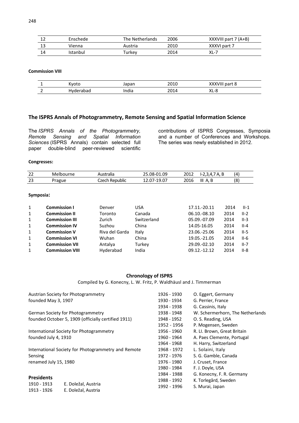| ᅭ  | Enschede | The Netherlands | 2006 | $XXXVIII$ part 7 (A+B) |
|----|----------|-----------------|------|------------------------|
|    | Vienna   | Austria         | 2010 | XXXVI part 7           |
| 14 | Istanbul | Turkev          | 2014 | XL-7                   |

#### **Commission VIII**

|     | $.7 - + .$<br>ULU | Japan        | ากาก<br>2010 | <br>.<br>c<br>part 8<br>. V III<br>^^^ |
|-----|-------------------|--------------|--------------|----------------------------------------|
| . . | 'JdL              | . .<br>India | ากา          | vı<br>c<br>ᄉᄕ                          |

#### **The ISPRS Annals of Photogrammetry, Remote Sensing and Spatial Information Science**

The *ISPRS Annals of the Photogrammetry, Remote Sensing and Spatial Information Sciences* (ISPRS Annals) contain selected full paper double-blind peer-reviewed scientific

contributions of ISPRS Congresses, Symposia and a number of Conferences and Workshops. The series was newly established in 2012.

#### **Congresses:**

| ົາ      | bourne | .                 | .1.09                                | 2015        | ∟.     | (4)         |
|---------|--------|-------------------|--------------------------------------|-------------|--------|-------------|
| ∠∠      | Mel    | i dild            | <b>08-1</b>                          | ∠∪⊥∠        | - -    |             |
| ີ<br>23 | Prague | `7∆rh<br>Republic | $\sim$ $-$<br>, ט<br><b>LJ</b><br>-- | ำกง<br>∠∪⊥∪ | Ш<br>Д | ٬۰۱<br>ا کا |

#### **Symposia:**

| 1 | <b>Commission I</b>    | Denver         | USA         | 17.11.-20.11 | 2014 | $II-1$   |
|---|------------------------|----------------|-------------|--------------|------|----------|
| 1 | <b>Commission II</b>   | Toronto        | Canada      | 06.10.-08.10 | 2014 | $II-2$   |
| 1 | <b>Commission III</b>  | Zurich         | Switzerland | 05.09.-07.09 | 2014 | $II-3$   |
| 1 | <b>Commission IV</b>   | Suzhou         | China       | 14.05-16.05  | 2014 | $II - 4$ |
| 1 | <b>Commission V</b>    | Riva del Garda | Italy       | 23.06.-25.06 | 2014 | $II-5$   |
| 1 | <b>Commission VI</b>   | Wuhan          | China       | 19.05.-21.05 | 2014 | $II-6$   |
| 1 | <b>Commission VII</b>  | Antalya        | Turkey      | 29.09.-02.10 | 2014 | $II-7$   |
|   | <b>Commission VIII</b> | Hyderabad      | India       | 09.12.-12.12 | 2014 | $II-8$   |

#### **Chronology of ISPRS**

Compiled by G. Konecny, L. W. Fritz, P. Waldhäusl and J. Timmerman

|                                                     | Austrian Society for Photogrammetry                 | 1926 - 1930 | O. Eggert, Germany               |  |
|-----------------------------------------------------|-----------------------------------------------------|-------------|----------------------------------|--|
| founded May 3, 1907                                 |                                                     | 1930 - 1934 | G. Perrier, France               |  |
|                                                     |                                                     | 1934 - 1938 | G. Cassinis, Italy               |  |
|                                                     | German Society for Photogrammetry                   | 1938 - 1948 | W. Schermerhorn, The Netherlands |  |
| founded October 5, 1909 (officially certified 1911) |                                                     | 1948 - 1952 | O. S. Reading, USA               |  |
|                                                     |                                                     | 1952 - 1956 | P. Mogensen, Sweden              |  |
|                                                     | International Society for Photogrammetry            | 1956 - 1960 | R. Ll. Brown, Great Britain      |  |
| founded July 4, 1910                                |                                                     | 1960 - 1964 | A. Paes Clemente, Portugal       |  |
|                                                     |                                                     | 1964 - 1968 | H. Harry, Switzerland            |  |
|                                                     | International Society for Photogrammetry and Remote | 1968 - 1972 | L. Solaini, Italy                |  |
| Sensing                                             |                                                     | 1972 - 1976 | S. G. Gamble, Canada             |  |
| renamed July 15, 1980                               |                                                     | 1976 - 1980 | J. Cruset, France                |  |
|                                                     |                                                     | 1980 - 1984 | F. J. Doyle, USA                 |  |
|                                                     |                                                     | 1984 - 1988 | G. Konecny, F. R. Germany        |  |
| <b>Presidents</b>                                   |                                                     | 1988 - 1992 | K. Torlegård, Sweden             |  |
| 1910 - 1913                                         | E. Doležal, Austria                                 | 1992 - 1996 | S. Murai, Japan                  |  |
| 1913 - 1926                                         | E. Doležal, Austria                                 |             |                                  |  |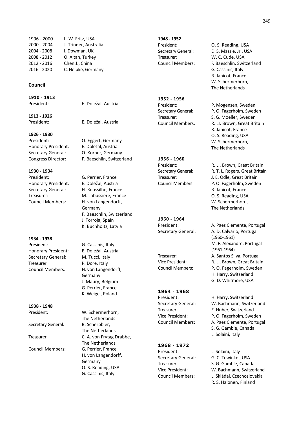#### **Council**

**1910 - 1913**  President: E. Doležal, Austria

**1913 - 1926** 

**1926 - 1930** 

Honorary President: E. Doležal, Austria Secretary General: **O. Korner, Germany** 

**1930 - 1934**  President: G. Perrier, France Honorary President: E. Doležal, Austria

**1934 - 1938**  President: G. Cassinis, Italy Honorary President: E. Doležal, Austria Secretary General: M. Tucci, Italy Treasurer: P. Dore, Italy Council Members: H. von Langendorff,

**1938 - 1948** 

Secretary General: B. Scherpbier,

Council Members: G. Perrier, France

President: E. Doležal, Austria

President: O. Eggert, Germany Congress Director: F. Baeschlin, Switzerland

Secretary General: H. Roussilhe, France Treasurer: M. Labussiere, France Council Members: H. von Langendorff, Germany F. Baeschlin, Switzerland J. Torroja, Spain K. Buchholtz, Latvia

> Germany J. Maury, Belgium G. Perrier, France K. Weigel, Poland

President: W. Schermerhorn, The Netherlands The Netherlands Treasurer: C. A. von Frytag Drabbe, The Netherlands H. von Langendorff, Germany O. S. Reading, USA G. Cassinis, Italy

**1948 - 1952**  Treasurer: W. C. Cude, USA

**1952 - 1956** 

**1956 - 1960** 

**1960 - 1964** 

**1964 - 1968**  President: H. Harry, Switzerland

#### **1968 - 1972**

President: L. Solaini, Italy

President: O. S. Reading, USA Secretary General: E. S. Massie, Jr., USA Council Members: F. Baeschlin, Switzerland G. Cassinis, Italy R. Janicot, France W. Schermerhorn, The Netherlands

President: P. Mogensen, Sweden Secretary General: P. O. Fagerholm, Sweden Treasurer: S. G. Moeller, Sweden Council Members: R. LI. Brown, Great Britain R. Janicot, France O. S. Reading, USA W. Schermerhorn, The Netherlands

President: R. Ll. Brown, Great Britain Secretary General: R. T. L. Rogers, Great Britain Treasurer: J. E. Odle, Great Britain Council Members: P. O. Fagerholm, Sweden R. Janicot, France O. S. Reading, USA W. Schermerhorn, The Netherlands

President: A. Paes Clemente, Portugal Secretary General: A. D. Calvario, Portugal (1960-1961) M. F. Alexandre, Portugal (1961-1964) Treasurer: A. Santos Silva, Portugal Vice President: R. LI. Brown, Great Britain Council Members: P. O. Fagerholm, Sweden H. Harry, Switzerland G. D. Whitmore, USA

Secretary General: W. Bachmann, Switzerland Treasurer: E. Huber, Switzerland Vice President: P. O. Fagerholm, Sweden Council Members: A. Paes Clemente, Portugal S. G. Gamble, Canada L. Solaini, Italy

Secretary General: G. C. Tewinkel, USA Treasurer: S. G. Gamble, Canada Vice President: W. Bachmann, Switzerland Council Members: L. Skládal, Czechoslovakia R. S. Halonen, Finland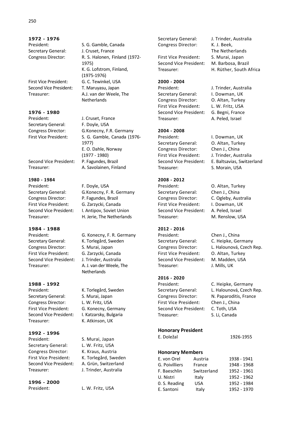**1972 - 1976**  Secretary General: J. Cruset, France

First Vice President: G. C. Tewinkel, USA Second Vice President: T. Maruyasu, Japan

**1976 - 1980**  President: J. Cruset, France Secretary General: F. Doyle, USA

Second Vice President: P. Fagundes, Brazil Treasurer: A. Savolainen, Finland

**1980 - 1984**  President: F. Doyle, USA Congress Director: P. Fagundes, Brazil First Vice President: G. Zarzycki, Canada

**1984 - 1988**  Secretary General: K. Torlegård, Sweden Congress Director: S. Murai, Japan First Vice President: G. Zarzycki, Canada Second Vice President: J. Trinder, Australia Treasurer: A. J. van der Weele, The

#### **1988 - 1992**

President: K. Torlegård, Sweden Secretary General: S. Murai, Japan Congress Director: L. W. Fritz, USA First Vice President: G. Konecny, Germany Second Vice President: I. Katzarsky, Bulgaria Treasurer: K. Atkinson, UK

**1992 - 1996**  President: S. Murai, Japan Secretary General: L. W. Fritz, USA Congress Director: K. Kraus, Austria First Vice President: K. Torlegård, Sweden Second Vice President: A. Grün, Switzerland Treasurer: J. Trinder, Australia

**1996 - 2000** 

President: S. G. Gamble, Canada Congress Director: R. S. Halonen, Finland (1972- 1975) K. G. Lofstrom, Finland, (1975-1976) Treasurer: A.J. van der Weele, The **Netherlands** 

Congress Director: G. Konecny, F.R. Germany First Vice President: S. G. Gamble, Canada (1976- 1977) E. O. Dahle, Norway (1977 - 1980)

Secretary General: G. Konecny, F. R. Germany Second Vice President: I. Antipov, Soviet Union Treasurer: H. Jerie, The Netherlands

President: G. Konecny, F. R. Germany **Netherlands** 

L. W. Fritz, USA

Secretary General: J. Trinder, Australia Congress Director: K. J. Beek,

First Vice President: S. Murai, Japan Second Vice President: M. Barbosa, Brazil

#### **2000 - 2004**

President: J. Trinder, Australia Secretary General: I. Dowman, UK Congress Director: O. Altan, Turkey First Vice President: L. W. Fritz, USA Second Vice President: G. Begni, France Treasurer: A. Peled, Israel

#### **2004 - 2008**

President: I. Dowman, UK Secretary General: O. Altan, Turkey Congress Director: Chen J., China First Vice President: J. Trinder, Australia Treasurer: S. Morain, USA

#### **2008 - 2012**

President: O. Altan, Turkey Secretary General: Chen J., China Congress Director: C. Ogleby, Australia First Vice President: I. Dowman, UK Second Vice President: A. Peled, Israel Treasurer: M. Renslow, USA

#### **2012 - 2016**

President: Chen J., China Secretary General: C. Heipke, Germany First Vice President: O. Altan, Turkey Second Vice President: M. Madden, USA Treasurer: J. Mills, UK

#### **2016 - 2020**

President: C. Heipke, Germany Congress Director: N. Paparoditis, France First Vice President: Chen J., China Second Vice President: C. Toth, USA Treasurer: S. Li, Canada

#### **Honorary President**

**Honorary Members** E. von Orel Austria 1938 - 1941 G. Poivilliers France 1948 - 1968 F. Baeschlin Switzerland 1952 - 1961 U. Nistri Italy 1952 - 1962 0. S. Reading USA 1952 - 1984 E. Santoni Italy 1952 - 1970

The Netherlands Treasurer: H. Rüther, South Africa

- 
- Second Vice President: E. Baltsavias, Switzerland

Congress Director: L. Halounová, Czech Rep.

Secretary General: L. Halounová, Czech Rep.

E. Doležal 1926-1955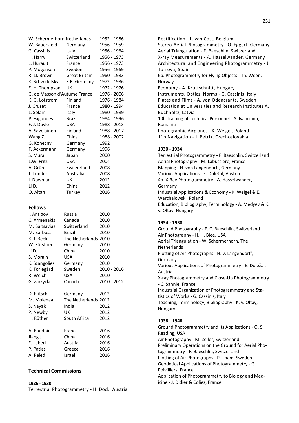| W. Schermerhorn Netherlands  |                      | 1952 - 1986  |
|------------------------------|----------------------|--------------|
| W. Bauersfeld                | Germany              | 1956 - 1959  |
| G. Cassinis                  | Italy                | 1956 - 1964  |
| H. Harry                     | Switzerland          | 1956 - 1973  |
| L. Hurault                   | France               | 1956 - 1973  |
| P. Mogensen                  | Sweden               | 1956 - 1969  |
| R. Ll. Brown                 | <b>Great Britain</b> | 1960 - 1983  |
| K. Schwidefsky               | F.R. Germany         | 1972 - 1986  |
| E. H. Thompson               | UK                   | 1972 - 1976  |
| G. de Masson d'Autume France |                      | 1976 - 2006  |
| K. G. Lofstrom               | Finland              | 1976 - 1984  |
| J. Cruset                    | France               | 1980 - 1994  |
| L. Solaini                   | Italy                | 1980 - 1989  |
| P. Fagundes                  | Brazil               | 1984 - 1996  |
| F. J. Doyle                  | <b>USA</b>           | 1988 - 2013  |
| A. Savolainen                | Finland              | 1988 - 2017  |
| Wang Z.                      | China                | 1988 - 2002  |
| G. Konecny                   | Germany              | 1992         |
| F. Ackermann                 | Germany              | 1996         |
| S. Murai                     | Japan                | 2000         |
| L.W. Fritz                   | <b>USA</b>           | 2004         |
| A. Grün                      | Switzerland          | 2008         |
| J. Trinder                   | Australia            | 2008         |
| I. Dowman                    | UK                   | 2012         |
| Li D.                        | China                | 2012         |
| O. Altan                     | Turkey               | 2016         |
|                              |                      |              |
|                              |                      |              |
|                              |                      |              |
| <b>Fellows</b>               |                      |              |
| I. Antipov                   | Russia               | 2010         |
| C. Armenakis                 | Canada               | 2010         |
| M. Baltsavias                | Switzerland          | 2010         |
| M. Barbosa                   | Brazil               | 2010         |
| K. J. Beek                   | The Netherlands 2010 |              |
| W. Förstner                  | Germany              | 2010         |
| Li D.                        | China                | 2010         |
| S. Morain                    | USA                  | 2010         |
| K. Szangolies                | Germany              | 2010         |
| K. Torlegård                 | Sweden               | 2010 - 2016  |
| R. Welch                     | USA                  | 2010         |
| G. Zarzycki                  | Canada               | 2010 - 2012  |
|                              |                      |              |
| D. Fritsch                   | Germany              | 2012         |
| M. Molenaar                  | The Netherlands 2012 |              |
| S. Nayak                     | India                | 2012         |
| P. Newby                     | UK                   | 2012         |
| H. Rüther                    | South Africa         | 2012         |
| A. Baudoin                   | France               |              |
|                              |                      | 2016<br>2016 |
| Jiang J.<br>F. Leberl        | China<br>Austria     | 2016         |
| P. Patias                    | Greece               | 2016         |

#### **Technical Commissions**

**1926 - 1930**  Terrestrial Photogrammetry - H. Dock, Austria Rectification - L. van Cost, Belgium Stereo-Aerial Photogrammetry - O. Eggert, Germany Aerial Triangulation - F. Baeschlin, Switzerland X-ray Measurements - A. Hasselwander, Germany Architectural and Engineering Photogrammetry - J. Torroya, Spain 6b. Photogrammetry for Flying Objects - Th. Ween, Norway Economy - A. Kruttschnitt, Hungary Instruments, Optics, Norms - G. Cassinis, Italy Plates and Films - A. von Odencrants, Sweden Education at Universities and Research Institutes A. Buchholtz, Latvia 10b.Training of Technical Personnel - A. Ivancianu, Romania Photographic Airplanes - K. Weigel, Poland 11b.Navigation - J. Petrik, Czechoslovakia

#### **1930 - 1934**

Terrestrial Photogrammetry - F. Baeschlin, Switzerland Aerial Photography - M. Labussiere, France Mapping - H. von Langendorff, Germany Various Applications - E. Doležal, Austria 4b. X-Ray Photogrammetry - A. Hasselwander, Germany Industrial Applications & Economy - K. Weigel & E. Warchalowski, Poland Education, Bibliography, Terminology - A. Medyev & K. v. Oltay, Hungary

#### **1934 - 1938**

Ground Photography - F. C. Baeschlin, Switzerland Air Photography - H. H. Blee, USA Aerial Triangulation - W. Schermerhorn, The Netherlands Plotting of Air Photographs - H. v. Langendorff, Germany Various Applications of Photogrammetry - E. Doležal, Austria X-ray Photogrammetry and Close-Up Photogrammetry - C. Sannie, France Industrial Organization of Photogrammetry and Statistics of Works - G. Cassinis, Italy Teaching, Terminology, Bibliography - K. v. Oltay, Hungary

#### **1938 - 1948**

Ground Photogrammetry and its Applications - O. S. Reading, USA Air Photography - M. Zeller, Switzerland Preliminary Operations on the Ground for Aerial Photogrammetry - F. Baeschlin, Switzerland Plotting of Air Photographs - P. Tham, Sweden Geodetical Applications of Photogrammetry - G. Poivilliers, France Application of Photogrammetry to Biology and Medicine - J. Didier & Coliez, France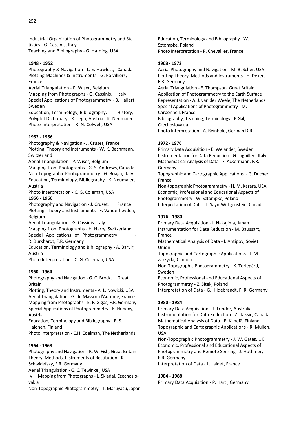Industrial Organization of Photogrammetry and Statistics - G. Cassinis, Italy Teaching and Bibliography - G. Harding, USA

#### **1948 - 1952**

Photography & Navigation - L. E. Howlett, Canada Plotting Machines & Instruments - G. Poivilliers, France

Aerial Triangulation - P. Wiser, Belgium

Mapping from Photographs - G. Cassinis, Italy Special Applications of Photogrammetry - B. Hallert, Sweden

Education, Terminology, Bibliography, History, Polyglot Dictionary - K. Lego, Austria - K. Neumaier Photo-Interpretation - R. N. Colwell, USA

#### **1952 - 1956**

Photography & Navigation - J. Cruset, France Plotting, Theory and Instruments - W. K. Bachmann, Switzerland

Aerial Triangulation - P. Wiser, Belgium

Mapping from Photographs - G. S. Andrews, Canada Non-Topographic Photogrammetry - G. Boaga, Italy Education, Terminology, Bibliography - K. Neumaier, Austria

Photo Interpretation - C. G. Coleman, USA

#### **1956 - 1960**

Photography and Navigation - J. Cruset, France Plotting, Theory and Instruments - F. Vanderheyden, Belgium

Aerial Triangulation - G. Cassinis, Italy

Mapping from Photographs - H. Harry, Switzerland Special Applications of Photogrammetry

R. Burkhardt, F.R. Germany

Education, Terminology and Bibliography - A. Barvir, Austria

Photo Interpretation - C. G. Coleman, USA

#### **1960 - 1964**

Photography and Navigation - G. C. Brock, Great Britain

Plotting, Theory and Instruments - A. L. Nowicki, USA Aerial Triangulation - G. de Masson d'Autume, France Mapping from Photographs - E. F. Gigas, F.R. Germany Special Applications of Photogrammetry - K. Hubeny, Austria

Education, Terminology and Bibliography - R. S. Halonen, Finland

Photo Interpretation - C.H. Edelman, The Netherlands

#### **1964 - 1968**

Photography and Navigation - R. W. Fish, Great Britain Theory, Methods, Instruments of Restitution - K.

Schwidefsky, F.R. Germany

Aerial Triangulation - G. C. Tewinkel, USA

IV Mapping from Photographs - L. Skladal, Czechoslovakia

Non-Topographic Photogrammetry - T. Maruyasu, Japan

Education, Terminology and Bibliography - W. Sztompke, Poland Photo Interpretation - R. Chevallier, France

#### **1968 - 1972**

Aerial Photography and Navigation - M. B. Scher, USA Plotting Theory, Methods and Instruments - H. Deker, F.R. Germany Aerial Triangulation - E. Thompson, Great Britain Application of Photogrammetry to the Earth Surface Representation - A. J. van der Weele, The Netherlands Special Applications of Photogrammetry - M. Carbonnell, France Bibliography, Teaching, Terminology - P Gal, Czechoslovakia Photo Interpretation - A. Reinhold, German D.R.

#### **1972 - 1976**

Primary Data Acquisition - E. Welander, Sweden Instrumentation for Data Reduction - G. Inghilleri, Italy Mathematical Analysis of Data - F. Ackermann, F.R. Germany Topographic and Cartographic Applications - G. Ducher, France Non-topographic Photogrammetry - H. M. Karara, USA Economic, Professional and Educational Aspects of Photogrammetry - W. Sztompke, Poland

Interpretation of Data - L. Sayn-Wittgenstein, Canada

#### **1976 - 1980**

Primary Data Acquisition - I. Nakajima, Japan Instrumentation for Data Reduction - M. Baussart, France Mathematical Analysis of Data - I. Antipov, Soviet Union Topographic and Cartographic Applications - J. M. Zarzycki, Canada Non-Topographic Photogrammetry - K. Torlegård, Sweden Economic, Professional and Educational Aspects of

Photogrammetry - Z. Sitek, Poland

Interpretation of Data - G. Hildebrandt, F. R. Germany

#### **1980 - 1984**

Primary Data Acquisition - J. Trinder, Australia Instrumentation for Data Reduction - Z. Jaksic, Canada Mathematical Analysis of Data - E. Kilpelä, Finland Topographic and Cartographic Applications - R. Mullen, USA

Non-Topographic Photogrammetry - J. W. Gates, UK Economic, Professional and Educational Aspects of Photogrammetry and Remote Sensing - J. Hothmer, F.R. Germany

Interpretation of Data - L. Laidet, France

#### **1984 - 1988**

Primary Data Acquisition - P. Hartl, Germany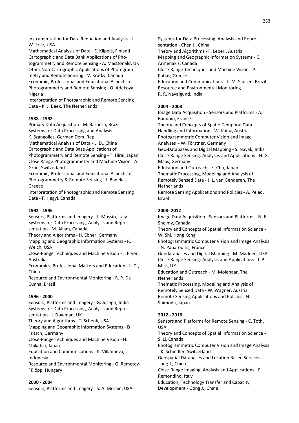Instrumentation for Data Reduction and Analysis - L. W. Fritz, USA

Mathematical Analysis of Data - E. Kilpelä, Finland Cartographic and Data Bank Applications of Photogrammetry and Remote Sensing - A. MacDonald, UK Other Non-Cartographic Applications of Photogrammetry and Remote Sensing - V. Kratky, Canada Economic, Professional and Educational Aspects of Photogrammetry and Remote Sensing - O. Adekoya, Nigeria

Interpretation of Photographic and Remote Sensing Data - K. J. Beek, The Netherlands

#### **1988 - 1992**

Primary Data Acquisition - M. Barbosa, Brazil Systems for Data Processing and Analysis - K. Szangolies, German Dem. Rep.

Mathematical Analysis of Data - Li D., China

Cartographic and Data Base Applications of

Photogrammetry and Remote Sensing - T. Hirai, Japan Close Range Photogrammetry and Machine Vision - A. Grün, Switzerland

Economic, Professional and Educational Aspects of Photogrammetry & Remote Sensing - J. Badekas, Greece

Interpretation of Photographic and Remote Sensing Data - F. Hegyi, Canada

#### **1992 - 1996**

Sensors, Platforms and Imagery - L. Mussio, Italy Systems for Data Processing, Analysis and Representation - M. Allam, Canada

Theory and Algorithms - H. Ebner, Germany

Mapping and Geographic Information Systems - R. Welch, USA

Close-Range Techniques and Machine Vision - J. Fryer, Australia

Economics, Professional Matters and Education - Li D., China

Resource and Environmental Monitoring - R. P. Da Cunha, Brazil

#### **1996 - 2000**

Sensors, Platforms and Imagery - G. Joseph, India Systems for Data Processing, Analysis and Representation - I. Dowman, UK Theory and Algorithms - T. Schenk, USA

Mapping and Geographic Information Systems - D. Fritsch, Germany

Close-Range Techniques and Machine Vision - H. Chikatsu, Japan

Education and Communications - K. Villanueva, Indonesia

Resource and Environmental Monitoring - G. Remetey-Fülöpp, Hungary

#### **2000 - 2004**

Sensors, Platforms and Imagery - S. A. Morain, USA

Systems for Data Processing, Analysis and Representation - Chen J., China Theory and Algorithms - F. Leberl, Austria Mapping and Geographic Information Systems - C. Armenakis, Canada Close-Range Techniques and Machine Vision - P. Patias, Greece Education and Communications - T. M. Sausen, Brazil Resource and Environmental Monitoring - R. R. Navalgund, India

#### **2004 - 2008**

Image Data Acquisition - Sensors and Platforms - A. Baudoin, France

Theory and Concepts of Spatio-Temporal Data Handling and Information - W. Kainz, Austria Photogrammetric Computer Vision and Image Analyses - W. Förstner, Germany

Geo-Databases and Digital Mapping - S. Nayak, India Close-Range Sensing: Analyses and Applications - H. G. Maas, Germany

Education and Outreach - K. Cho, Japan Thematic Processing, Modeling and Analysis of Remotely Sensed Data - J. L. van Genderen, The **Netherlands** 

Remote Sensing Applications and Policies - A. Peled, Israel

#### **2008- 2012**

Image Data Acquisition - Sensors and Platforms - N. El-Sheimy, Canada Theory and Concepts of Spatial Information Science - W. Shi, Hong Kong Photogrammetric Computer Vision and Image Analysis - N. Paparoditis, France Geodatabases and Digital Mapping - M. Madden, USA Close-Range Sensing: Analysis and Applications - J. P. Mills, UK Education and Outreach - M. Molenaar, The **Netherlands** Thematic Processing, Modeling and Analysis of Remotely Sensed Data - W. Wagner, Austria Remote Sensing Applications and Policies - H. Shimoda, Japan

#### **2012 - 2016**

Sensors and Platforms for Remote Sensing - C. Toth, USA Theory and Concepts of Spatial Information Science - S. Li, Canada Photogrammetric Computer Vision and Image Analysis - K. Schindler, Switzerland Geospatial Databases and Location Based Services - Jiang J., Chına Close-Range Imaging, Analysis and Applications - F. Remondino, Italy Education, Technology Transfer and Capacity Development - Gong J., Chına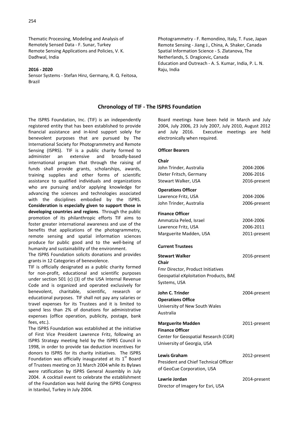Thematic Processing, Modeling and Analysis of Remotely Sensed Data - F. Sunar, Turkey Remote Sensing Applications and Policies, V. K. Dadhwal, India

#### **2016 - 2020**

Sensor Systems - Stefan Hinz, Germany, R. Q. Feitosa, Brazil

Photogrammetry - F. Remondino, Italy, T. Fuse, Japan Remote Sensing - Jiang J., China, A. Shaker, Canada Spatial Information Science - S. Zlatanova, The Netherlands, S. Dragicevic, Canada Education and Outreach - A. S. Kumar, India, P. L. N. Raju, India

#### **Chronology of TIF - The ISPRS Foundation**

The ISPRS Foundation, Inc. (TIF) is an independently registered entity that has been established to provide financial assistance and in-kind support solely for benevolent purposes that are pursued by The International Society for Photogrammetry and Remote Sensing (ISPRS). TIF is a public charity formed to administer an extensive and broadly-based international program that through the raising of funds shall provide grants, scholarships, awards, training supplies and other forms of scientific assistance to qualified individuals and organizations who are pursuing and/or applying knowledge for advancing the sciences and technologies associated with the disciplines embodied by the ISPRS. **Consideration is especially given to support those in developing countries and regions**. Through the public promotion of its philanthropic efforts TIF aims to foster greater international awareness and use of the benefits that applications of the photogrammetry, remote sensing and spatial information sciences produce for public good and to the well-being of humanity and sustainability of the environment.

The ISPRS Foundation solicits donations and provides grants in 12 Categories of benevolence.

TIF is officially designated as a public charity formed for non-profit, educational and scientific purposes under section 501 (c) (3) of the USA Internal Revenue Code and is organized and operated exclusively for benevolent, charitable, scientific, research or educational purposes. TIF shall not pay any salaries or travel expenses for its Trustees and it is limited to spend less than 2% of donations for administrative expenses (office operation, publicity, postage, bank fees, etc.).

The ISPRS Foundation was established at the initiative of First Vice President Lawrence Fritz, following an ISPRS Strategy meeting held by the ISPRS Council in 1998, in order to provide tax deduction incentives for donors to ISPRS for its charity initiatives. The ISPRS Foundation was officially inaugurated at its  $1<sup>st</sup>$  Board of Trustees meeting on 31 March 2004 while its Bylaws were ratification by ISPRS General Assembly in July 2004. A cocktail event to celebrate the establishment of the Foundation was held during the ISPRS Congress in Istanbul, Turkey in July 2004.

Board meetings have been held in March and July 2004, July 2006, 23 July 2007, July 2010, August 2012 and July 2016. Executive meetings are held electronically when required.

#### **Officer Bearers**

| Chair                                        |              |
|----------------------------------------------|--------------|
| John Trinder, Australia                      | 2004-2006    |
| Dieter Fritsch, Germany                      | 2006-2016    |
| Stewart Walker, USA                          | 2016-present |
| <b>Operations Officer</b>                    |              |
| Lawrence Fritz, USA                          | 2004-2006    |
| John Trinder, Australia                      | 2006-present |
| <b>Finance Officer</b>                       |              |
| Ammatzia Peled, Israel                       | 2004-2006    |
| Lawrence Fritz, USA                          | 2006-2011    |
| Marguerite Madden, USA                       | 2011-present |
| <b>Current Trustees</b>                      |              |
| <b>Stewart Walker</b><br>Chair               | 2016-present |
| Fmr Director, Product Initiatives            |              |
| <b>Geospatial eXploitation Products, BAE</b> |              |
| Systems, USA                                 |              |
| John C. Trinder                              | 2004-present |
| <b>Operations Office</b>                     |              |
| University of New South Wales                |              |
| Australia                                    |              |
| <b>Marguerite Madden</b>                     | 2011-present |
| <b>Finance Officer</b>                       |              |
| Center for Geospatial Research (CGR)         |              |
| University of Georgia, USA                   |              |
| Lewis Graham                                 | 2012-present |
| <b>President and Chief Technical Officer</b> |              |
| of GeoCue Corporation, USA                   |              |
| Lawrie Jordan                                | 2014-present |
| Director of Imagery for Esri, USA            |              |